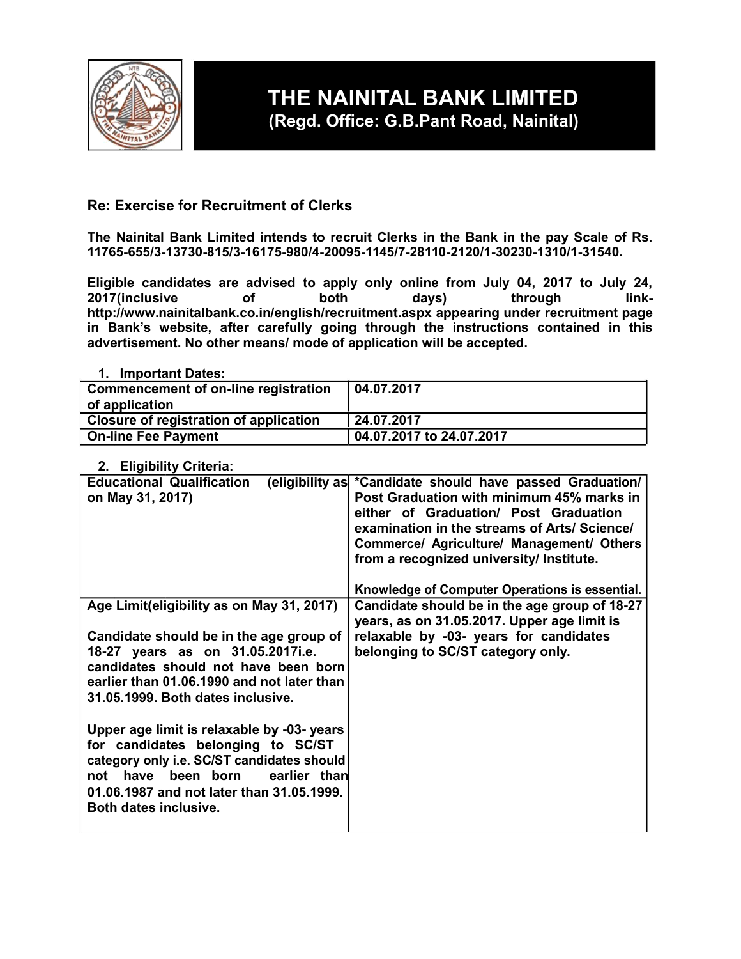

# **THE NAINITAL BANK LIMITED (Regd. Office: G.B.Pant Road, Nainital)**

# **Re: Exercise for Recruitment of Clerks**

**The Nainital Bank Limited intends to recruit Clerks in the Bank in the pay Scale of Rs. 11765-655/3-13730-815/3-16175-980/4-20095-1145/7-28110-2120/1-30230-1310/1-31540.**

**Eligible candidates are advised to apply only online from July 04, 2017 to July 24, 2017(inclusive of both days) through linkhttp://www.nainitalbank.co.in/english/recruitment.aspx appearing under recruitment page in Bank's website, after carefully going through the instructions contained in this advertisement. No other means/ mode of application will be accepted.**

# **1. Important Dates:**

| Commencement of on-line registration<br>of application | 04.07.2017               |
|--------------------------------------------------------|--------------------------|
| Closure of registration of application                 | 24.07.2017               |
| <b>On-line Fee Payment</b>                             | 04.07.2017 to 24.07.2017 |

# **2. Eligibility Criteria:**

| (eligibility as *Candidate should have passed Graduation/<br>Post Graduation with minimum 45% marks in<br>either of Graduation/ Post Graduation<br>examination in the streams of Arts/ Science/<br>Commerce/ Agriculture/ Management/ Others<br>from a recognized university/ Institute. |
|------------------------------------------------------------------------------------------------------------------------------------------------------------------------------------------------------------------------------------------------------------------------------------------|
| Knowledge of Computer Operations is essential.                                                                                                                                                                                                                                           |
| Candidate should be in the age group of 18-27<br>years, as on 31.05.2017. Upper age limit is                                                                                                                                                                                             |
| relaxable by -03- years for candidates                                                                                                                                                                                                                                                   |
| belonging to SC/ST category only.<br>candidates should not have been born<br>earlier than 01.06.1990 and not later than                                                                                                                                                                  |
| Upper age limit is relaxable by -03- years<br>category only i.e. SC/ST candidates should<br>earlier than                                                                                                                                                                                 |
|                                                                                                                                                                                                                                                                                          |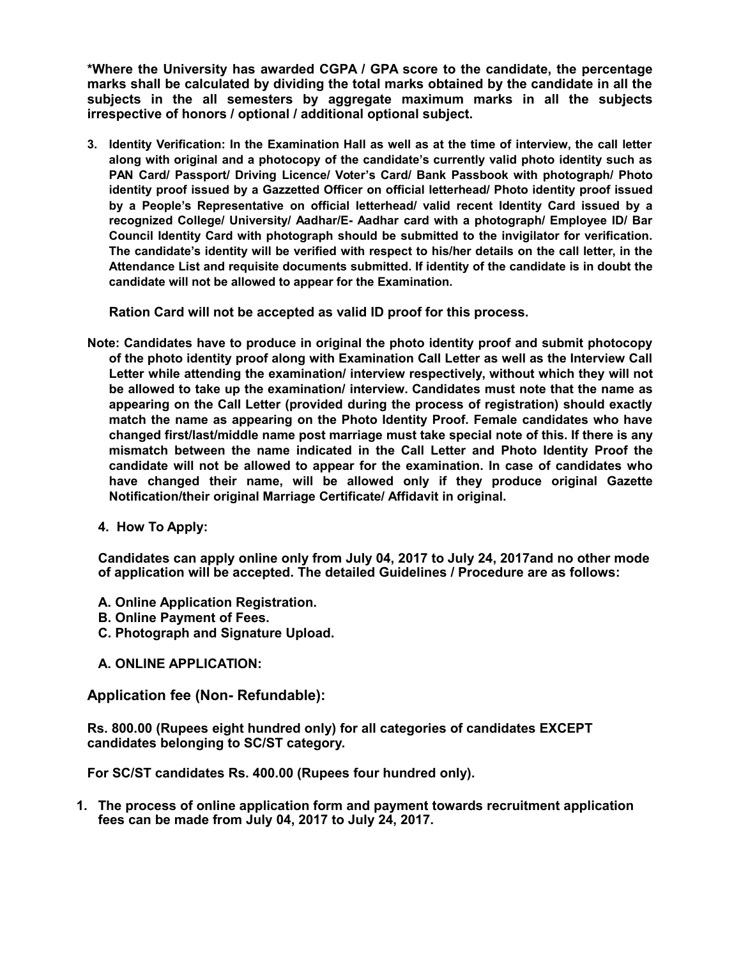**\*Where the University has awarded CGPA / GPA score to the candidate, the percentage marks shall be calculated by dividing the total marks obtained by the candidate in all the subjects in the all semesters by aggregate maximum marks in all the subjects irrespective of honors / optional / additional optional subject.**

**3. Identity Verification: In the Examination Hall as well as at the time of interview, the call letter along with original and a photocopy of the candidate's currently valid photo identity such as PAN Card/ Passport/ Driving Licence/ Voter's Card/ Bank Passbook with photograph/ Photo identity proof issued by a Gazzetted Officer on official letterhead/ Photo identity proof issued by a People's Representative on official letterhead/ valid recent Identity Card issued by a recognized College/ University/ Aadhar/E- Aadhar card with a photograph/ Employee ID/ Bar Council Identity Card with photograph should be submitted to the invigilator for verification. The candidate's identity will be verified with respect to his/her details on the call letter, in the Attendance List and requisite documents submitted. If identity of the candidate is in doubt the candidate will not be allowed to appear for the Examination.**

**Ration Card will not be accepted as valid ID proof for this process.**

- **Note: Candidates have to produce in original the photo identity proof and submit photocopy of the photo identity proof along with Examination Call Letter as well as the Interview Call Letter while attending the examination/ interview respectively, without which they will not be allowed to take up the examination/ interview. Candidates must note that the name as appearing on the Call Letter (provided during the process of registration) should exactly match the name as appearing on the Photo Identity Proof. Female candidates who have changed first/last/middle name post marriage must take special note of this. If there is any mismatch between the name indicated in the Call Letter and Photo Identity Proof the candidate will not be allowed to appear for the examination. In case of candidates who have changed their name, will be allowed only if they produce original Gazette Notification/their original Marriage Certificate/ Affidavit in original.**
	- **4. How To Apply:**

**Candidates can apply online only from July 04, 2017 to July 24, 2017and no other mode of application will be accepted. The detailed Guidelines / Procedure are as follows:**

- **A. Online Application Registration.**
- **B. Online Payment of Fees.**
- **C. Photograph and Signature Upload.**
- **A. ONLINE APPLICATION:**

# **Application fee (Non- Refundable):**

**Rs. 800.00 (Rupees eight hundred only) for all categories of candidates EXCEPT candidates belonging to SC/ST category.**

**For SC/ST candidates Rs. 400.00 (Rupees four hundred only).**

**1. The process of online application form and payment towards recruitment application fees can be made from July 04, 2017 to July 24, 2017.**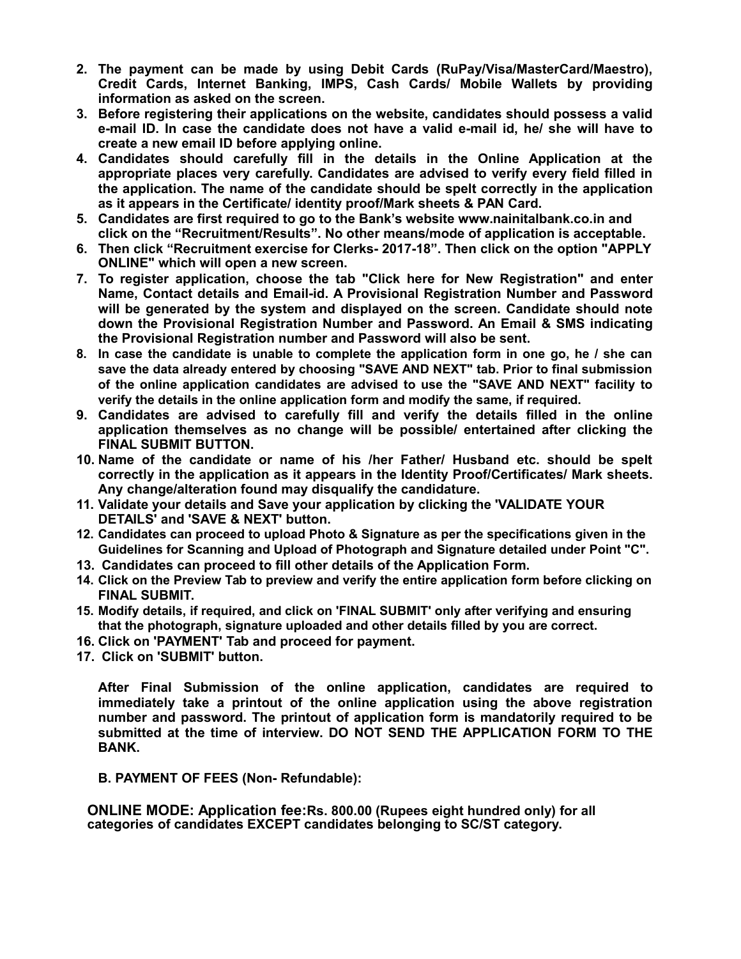- **2. The payment can be made by using Debit Cards (RuPay/Visa/MasterCard/Maestro), Credit Cards, Internet Banking, IMPS, Cash Cards/ Mobile Wallets by providing information as asked on the screen.**
- **3. Before registering their applications on the website, candidates should possess a valid e-mail ID. In case the candidate does not have a valid e-mail id, he/ she will have to create a new email ID before applying online.**
- **4. Candidates should carefully fill in the details in the Online Application at the appropriate places very carefully. Candidates are advised to verify every field filled in the application. The name of the candidate should be spelt correctly in the application as it appears in the Certificate/ identity proof/Mark sheets & PAN Card.**
- **5. Candidates are first required to go to the Bank's website www.nainitalbank.co.in and click on the "Recruitment/Results". No other means/mode of application is acceptable.**
- **6. Then click "Recruitment exercise for Clerks- 2017-18". Then click on the option "APPLY ONLINE" which will open a new screen.**
- **7. To register application, choose the tab "Click here for New Registration" and enter Name, Contact details and Email-id. A Provisional Registration Number and Password will be generated by the system and displayed on the screen. Candidate should note down the Provisional Registration Number and Password. An Email & SMS indicating the Provisional Registration number and Password will also be sent.**
- **8. In case the candidate is unable to complete the application form in one go, he / she can save the data already entered by choosing "SAVE AND NEXT" tab. Prior to final submission of the online application candidates are advised to use the "SAVE AND NEXT" facility to verify the details in the online application form and modify the same, if required.**
- **9. Candidates are advised to carefully fill and verify the details filled in the online application themselves as no change will be possible/ entertained after clicking the FINAL SUBMIT BUTTON.**
- **10. Name of the candidate or name of his /her Father/ Husband etc. should be spelt correctly in the application as it appears in the Identity Proof/Certificates/ Mark sheets. Any change/alteration found may disqualify the candidature.**
- **11. Validate your details and Save your application by clicking the 'VALIDATE YOUR DETAILS' and 'SAVE & NEXT' button.**
- **12. Candidates can proceed to upload Photo & Signature as per the specifications given in the Guidelines for Scanning and Upload of Photograph and Signature detailed under Point "C".**
- **13. Candidates can proceed to fill other details of the Application Form.**
- **14. Click on the Preview Tab to preview and verify the entire application form before clicking on FINAL SUBMIT.**
- **15. Modify details, if required, and click on 'FINAL SUBMIT' only after verifying and ensuring that the photograph, signature uploaded and other details filled by you are correct.**
- **16. Click on 'PAYMENT' Tab and proceed for payment.**
- **17. Click on 'SUBMIT' button.**

**After Final Submission of the online application, candidates are required to immediately take a printout of the online application using the above registration number and password. The printout of application form is mandatorily required to be submitted at the time of interview. DO NOT SEND THE APPLICATION FORM TO THE BANK.**

**B. PAYMENT OF FEES (Non- Refundable):**

**ONLINE MODE: Application fee:Rs. 800.00 (Rupees eight hundred only) for all categories of candidates EXCEPT candidates belonging to SC/ST category.**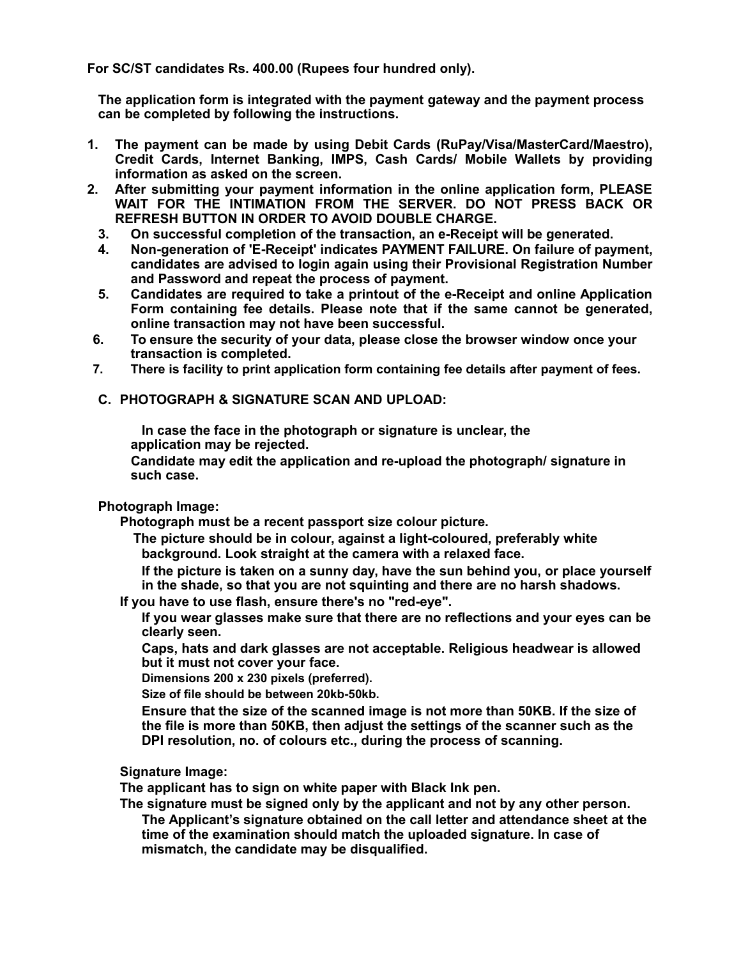**For SC/ST candidates Rs. 400.00 (Rupees four hundred only).**

**The application form is integrated with the payment gateway and the payment process can be completed by following the instructions.**

- **1. The payment can be made by using Debit Cards (RuPay/Visa/MasterCard/Maestro), Credit Cards, Internet Banking, IMPS, Cash Cards/ Mobile Wallets by providing information as asked on the screen.**
- **2. After submitting your payment information in the online application form, PLEASE WAIT FOR THE INTIMATION FROM THE SERVER. DO NOT PRESS BACK OR REFRESH BUTTON IN ORDER TO AVOID DOUBLE CHARGE.**
	- **3. On successful completion of the transaction, an e-Receipt will be generated.**
	- **4. Non-generation of 'E-Receipt' indicates PAYMENT FAILURE. On failure of payment, candidates are advised to login again using their Provisional Registration Number and Password and repeat the process of payment.**
	- **5. Candidates are required to take a printout of the e-Receipt and online Application Form containing fee details. Please note that if the same cannot be generated, online transaction may not have been successful.**
- **6. To ensure the security of your data, please close the browser window once your transaction is completed.**
- **7. There is facility to print application form containing fee details after payment of fees.**
- **C. PHOTOGRAPH & SIGNATURE SCAN AND UPLOAD:**

**In case the face in the photograph or signature is unclear, the application may be rejected.**

**Candidate may edit the application and re-upload the photograph/ signature in such case.**

#### **Photograph Image:**

**Photograph must be a recent passport size colour picture.**

**The picture should be in colour, against a light-coloured, preferably white background. Look straight at the camera with a relaxed face.**

**If the picture is taken on a sunny day, have the sun behind you, or place yourself in the shade, so that you are not squinting and there are no harsh shadows.**

**If you have to use flash, ensure there's no "red-eye".**

**If you wear glasses make sure that there are no reflections and your eyes can be clearly seen.**

**Caps, hats and dark glasses are not acceptable. Religious headwear is allowed but it must not cover your face.**

**Dimensions 200 x 230 pixels (preferred).** 

**Size of file should be between 20kb-50kb.**

**Ensure that the size of the scanned image is not more than 50KB. If the size of the file is more than 50KB, then adjust the settings of the scanner such as the DPI resolution, no. of colours etc., during the process of scanning.**

**Signature Image:**

**The applicant has to sign on white paper with Black Ink pen.**

**The signature must be signed only by the applicant and not by any other person. The Applicant's signature obtained on the call letter and attendance sheet at the time of the examination should match the uploaded signature. In case of mismatch, the candidate may be disqualified.**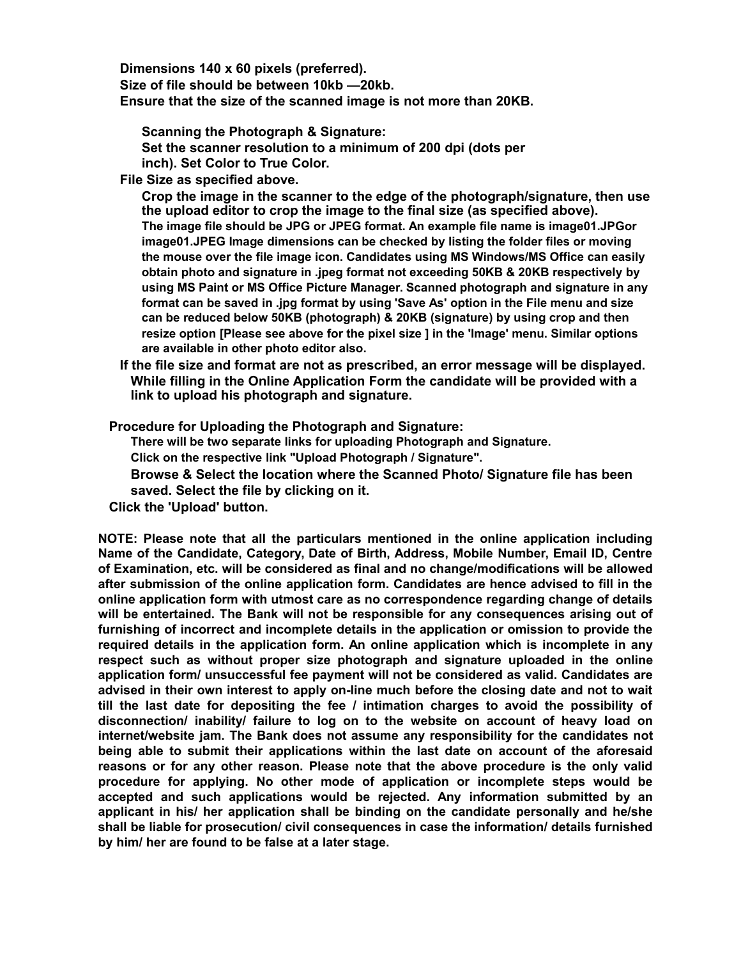**Dimensions 140 x 60 pixels (preferred). Size of file should be between 10kb —20kb. Ensure that the size of the scanned image is not more than 20KB.**

**Scanning the Photograph & Signature: Set the scanner resolution to a minimum of 200 dpi (dots per inch). Set Color to True Color.**

**File Size as specified above.**

**Crop the image in the scanner to the edge of the photograph/signature, then use the upload editor to crop the image to the final size (as specified above). The image file should be JPG or JPEG format. An example file name is image01.JPGor image01.JPEG Image dimensions can be checked by listing the folder files or moving the mouse over the file image icon. Candidates using MS Windows/MS Office can easily obtain photo and signature in .jpeg format not exceeding 50KB & 20KB respectively by using MS Paint or MS Office Picture Manager. Scanned photograph and signature in any format can be saved in .jpg format by using 'Save As' option in the File menu and size can be reduced below 50KB (photograph) & 20KB (signature) by using crop and then resize option [Please see above for the pixel size ] in the 'Image' menu. Similar options are available in other photo editor also.**

**If the file size and format are not as prescribed, an error message will be displayed. While filling in the Online Application Form the candidate will be provided with a link to upload his photograph and signature.**

**Procedure for Uploading the Photograph and Signature:**

**There will be two separate links for uploading Photograph and Signature.** 

**Click on the respective link "Upload Photograph / Signature".**

**Browse & Select the location where the Scanned Photo/ Signature file has been saved. Select the file by clicking on it.**

**Click the 'Upload' button.**

**NOTE: Please note that all the particulars mentioned in the online application including Name of the Candidate, Category, Date of Birth, Address, Mobile Number, Email ID, Centre of Examination, etc. will be considered as final and no change/modifications will be allowed after submission of the online application form. Candidates are hence advised to fill in the online application form with utmost care as no correspondence regarding change of details will be entertained. The Bank will not be responsible for any consequences arising out of furnishing of incorrect and incomplete details in the application or omission to provide the required details in the application form. An online application which is incomplete in any respect such as without proper size photograph and signature uploaded in the online application form/ unsuccessful fee payment will not be considered as valid. Candidates are advised in their own interest to apply on-line much before the closing date and not to wait till the last date for depositing the fee / intimation charges to avoid the possibility of disconnection/ inability/ failure to log on to the website on account of heavy load on internet/website jam. The Bank does not assume any responsibility for the candidates not being able to submit their applications within the last date on account of the aforesaid reasons or for any other reason. Please note that the above procedure is the only valid procedure for applying. No other mode of application or incomplete steps would be accepted and such applications would be rejected. Any information submitted by an applicant in his/ her application shall be binding on the candidate personally and he/she shall be liable for prosecution/ civil consequences in case the information/ details furnished by him/ her are found to be false at a later stage.**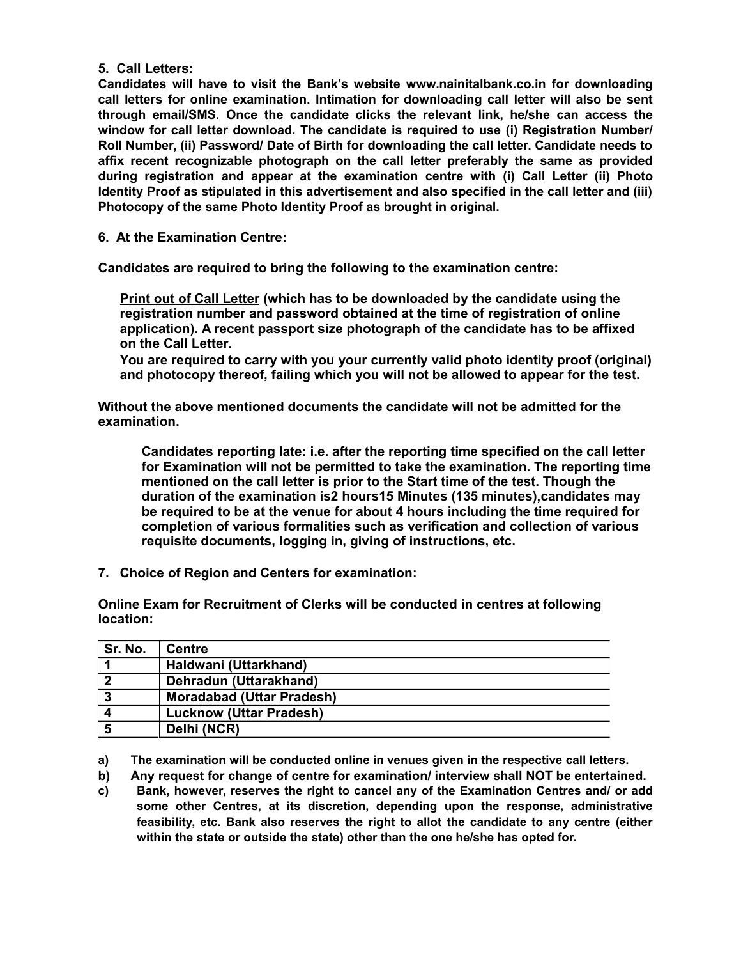### **5. Call Letters:**

**Candidates will have to visit the Bank's website www.nainitalbank.co.in for downloading call letters for online examination. Intimation for downloading call letter will also be sent through email/SMS. Once the candidate clicks the relevant link, he/she can access the window for call letter download. The candidate is required to use (i) Registration Number/ Roll Number, (ii) Password/ Date of Birth for downloading the call letter. Candidate needs to affix recent recognizable photograph on the call letter preferably the same as provided during registration and appear at the examination centre with (i) Call Letter (ii) Photo Identity Proof as stipulated in this advertisement and also specified in the call letter and (iii) Photocopy of the same Photo Identity Proof as brought in original.**

**6. At the Examination Centre:**

**Candidates are required to bring the following to the examination centre:**

**Print out of Call Letter (which has to be downloaded by the candidate using the registration number and password obtained at the time of registration of online application). A recent passport size photograph of the candidate has to be affixed on the Call Letter.**

**You are required to carry with you your currently valid photo identity proof (original) and photocopy thereof, failing which you will not be allowed to appear for the test.**

**Without the above mentioned documents the candidate will not be admitted for the examination.**

**Candidates reporting late: i.e. after the reporting time specified on the call letter for Examination will not be permitted to take the examination. The reporting time mentioned on the call letter is prior to the Start time of the test. Though the duration of the examination is2 hours15 Minutes (135 minutes),candidates may be required to be at the venue for about 4 hours including the time required for completion of various formalities such as verification and collection of various requisite documents, logging in, giving of instructions, etc.**

**7. Choice of Region and Centers for examination:**

**Online Exam for Recruitment of Clerks will be conducted in centres at following location:**

| Sr. No. | <b>Centre</b>                    |
|---------|----------------------------------|
|         | Haldwani (Uttarkhand)            |
|         | Dehradun (Uttarakhand)           |
| 3       | <b>Moradabad (Uttar Pradesh)</b> |
|         | <b>Lucknow (Uttar Pradesh)</b>   |
|         | Delhi (NCR)                      |

**a) The examination will be conducted online in venues given in the respective call letters.**

**b) Any request for change of centre for examination/ interview shall NOT be entertained.**

**c) Bank, however, reserves the right to cancel any of the Examination Centres and/ or add some other Centres, at its discretion, depending upon the response, administrative feasibility, etc. Bank also reserves the right to allot the candidate to any centre (either within the state or outside the state) other than the one he/she has opted for.**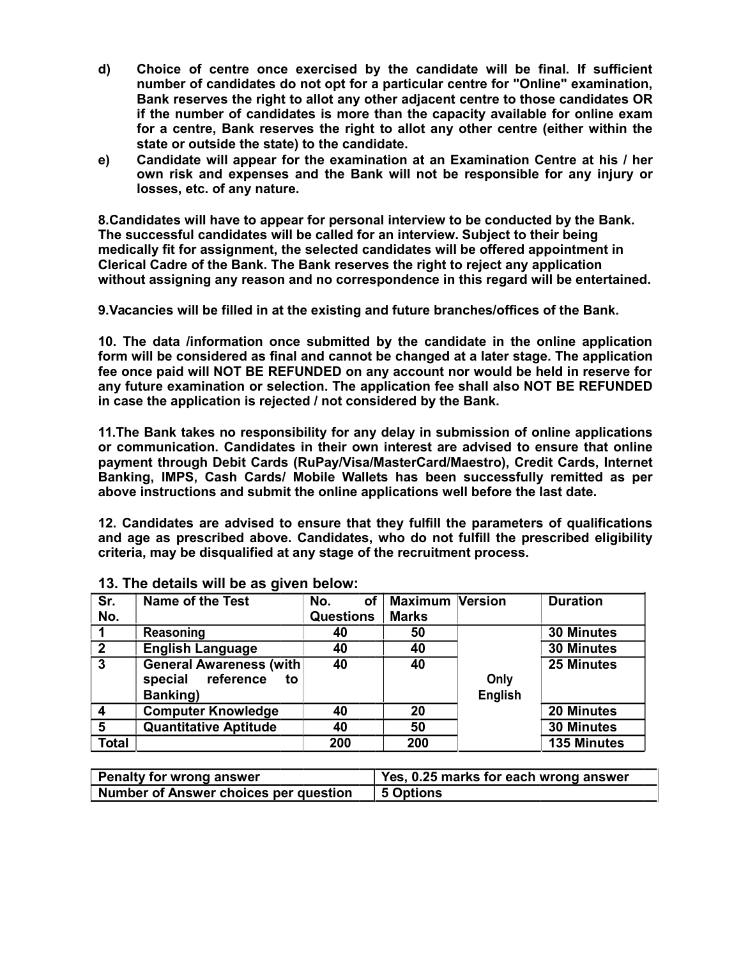- **d) Choice of centre once exercised by the candidate will be final. If sufficient number of candidates do not opt for a particular centre for "Online" examination, Bank reserves the right to allot any other adjacent centre to those candidates OR if the number of candidates is more than the capacity available for online exam for a centre, Bank reserves the right to allot any other centre (either within the state or outside the state) to the candidate.**
- **e) Candidate will appear for the examination at an Examination Centre at his / her own risk and expenses and the Bank will not be responsible for any injury or losses, etc. of any nature.**

**8.Candidates will have to appear for personal interview to be conducted by the Bank. The successful candidates will be called for an interview. Subject to their being medically fit for assignment, the selected candidates will be offered appointment in Clerical Cadre of the Bank. The Bank reserves the right to reject any application without assigning any reason and no correspondence in this regard will be entertained.**

**9.Vacancies will be filled in at the existing and future branches/offices of the Bank.**

**10. The data /information once submitted by the candidate in the online application form will be considered as final and cannot be changed at a later stage. The application fee once paid will NOT BE REFUNDED on any account nor would be held in reserve for any future examination or selection. The application fee shall also NOT BE REFUNDED in case the application is rejected / not considered by the Bank.**

**11.The Bank takes no responsibility for any delay in submission of online applications or communication. Candidates in their own interest are advised to ensure that online payment through Debit Cards (RuPay/Visa/MasterCard/Maestro), Credit Cards, Internet Banking, IMPS, Cash Cards/ Mobile Wallets has been successfully remitted as per above instructions and submit the online applications well before the last date.**

**12. Candidates are advised to ensure that they fulfill the parameters of qualifications and age as prescribed above. Candidates, who do not fulfill the prescribed eligibility criteria, may be disqualified at any stage of the recruitment process.**

| Sr.<br>No.     | <b>Name of the Test</b>                                                  | No.<br>οf<br><b>Questions</b> | <b>Maximum Version</b><br><b>Marks</b> |                 | <b>Duration</b>    |
|----------------|--------------------------------------------------------------------------|-------------------------------|----------------------------------------|-----------------|--------------------|
|                | Reasoning                                                                | 40                            | 50                                     |                 | <b>30 Minutes</b>  |
| $\mathbf{2}$   | <b>English Language</b>                                                  | 40                            | 40                                     |                 | <b>30 Minutes</b>  |
| $\overline{3}$ | <b>General Awareness (with</b><br>reference<br>special<br>to<br>Banking) | 40                            | 40                                     | Only<br>English | <b>25 Minutes</b>  |
| $\overline{4}$ | <b>Computer Knowledge</b>                                                | 40                            | 20                                     |                 | 20 Minutes         |
| 5              | <b>Quantitative Aptitude</b>                                             | 40                            | 50                                     |                 | <b>30 Minutes</b>  |
| <b>Total</b>   |                                                                          | 200                           | 200                                    |                 | <b>135 Minutes</b> |

| 13. The details will be as given below: |  |  |  |
|-----------------------------------------|--|--|--|
|-----------------------------------------|--|--|--|

| <b>Penalty for wrong answer</b>              | Yes, 0.25 marks for each wrong answer |
|----------------------------------------------|---------------------------------------|
| <b>Number of Answer choices per question</b> | 5 Options                             |